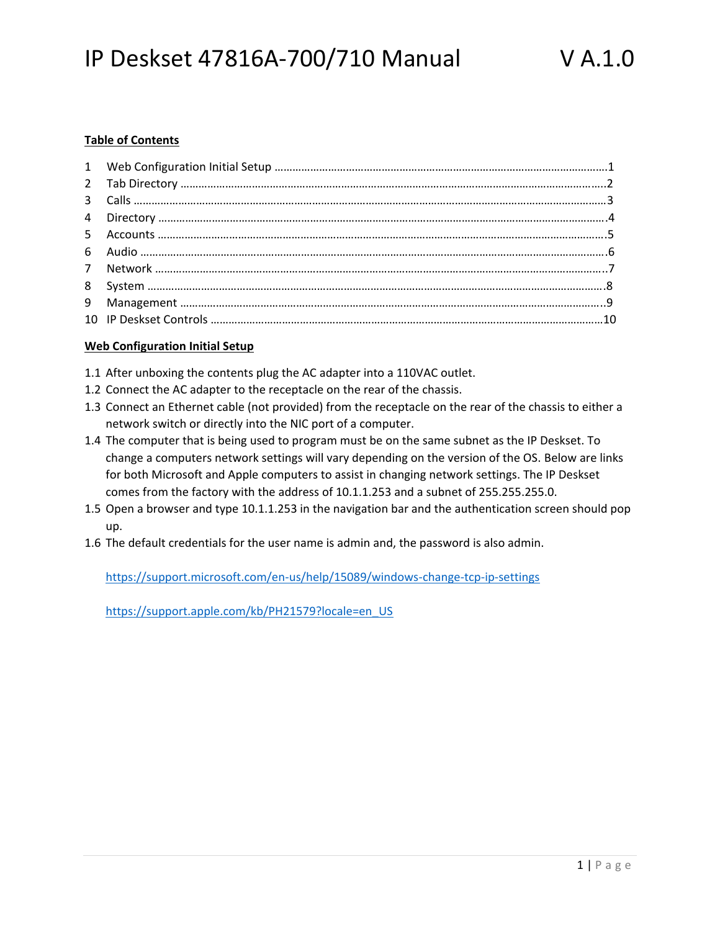#### **Table of Contents**

#### **Web Configuration Initial Setup**

- 1.1 After unboxing the contents plug the AC adapter into a 110VAC outlet.
- 1.2 Connect the AC adapter to the receptacle on the rear of the chassis.
- 1.3 Connect an Ethernet cable (not provided) from the receptacle on the rear of the chassis to either a network switch or directly into the NIC port of a computer.
- 1.4 The computer that is being used to program must be on the same subnet as the IP Deskset. To change a computers network settings will vary depending on the version of the OS. Below are links for both Microsoft and Apple computers to assist in changing network settings. The IP Deskset comes from the factory with the address of 10.1.1.253 and a subnet of 255.255.255.0.
- 1.5 Open a browser and type 10.1.1.253 in the navigation bar and the authentication screen should pop up.
- 1.6 The default credentials for the user name is admin and, the password is also admin.

https://support.microsoft.com/en-us/help/15089/windows-change-tcp-ip-settings

https://support.apple.com/kb/PH21579?locale=en\_US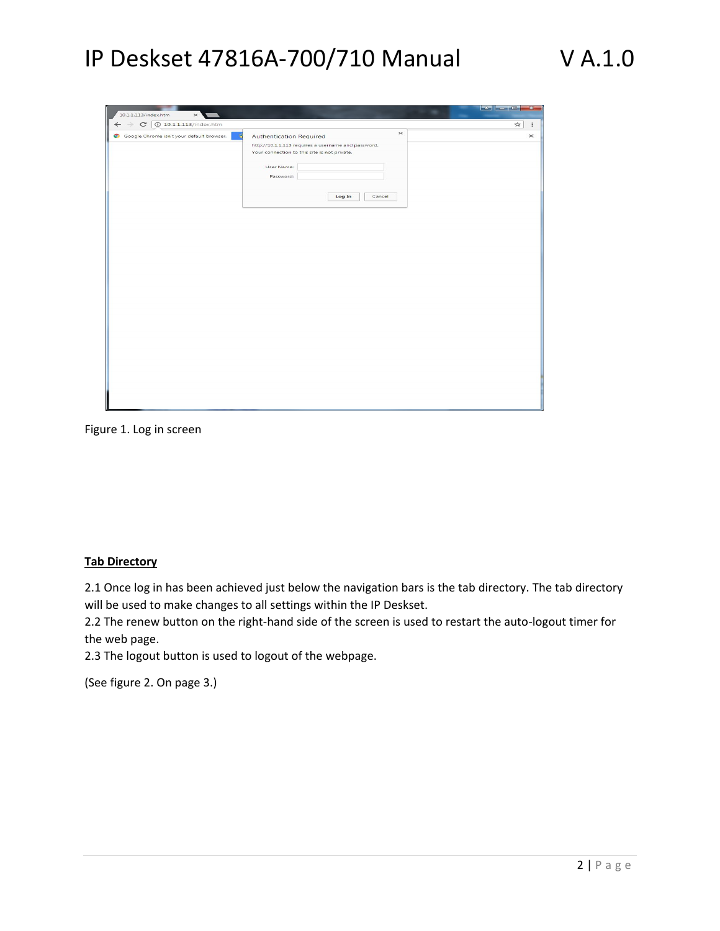| Google Chrome isn't your default browser. | $\times$<br>- e<br><b>Authentication Required</b>   |  |
|-------------------------------------------|-----------------------------------------------------|--|
|                                           | http://10.1.1.113 requires a username and password. |  |
|                                           | Your connection to this site is not private.        |  |
|                                           |                                                     |  |
|                                           | User Name:                                          |  |
|                                           | Password:                                           |  |
|                                           |                                                     |  |
|                                           | Log In<br>Cancel                                    |  |
|                                           |                                                     |  |
|                                           |                                                     |  |
|                                           |                                                     |  |
|                                           |                                                     |  |
|                                           |                                                     |  |
|                                           |                                                     |  |
|                                           |                                                     |  |
|                                           |                                                     |  |
|                                           |                                                     |  |
|                                           |                                                     |  |
|                                           |                                                     |  |
|                                           |                                                     |  |
|                                           |                                                     |  |
|                                           |                                                     |  |
|                                           |                                                     |  |
|                                           |                                                     |  |
|                                           |                                                     |  |
|                                           |                                                     |  |
|                                           |                                                     |  |
|                                           |                                                     |  |
|                                           |                                                     |  |
|                                           |                                                     |  |
|                                           |                                                     |  |

Figure 1. Log in screen

#### **Tab Directory**

2.1 Once log in has been achieved just below the navigation bars is the tab directory. The tab directory will be used to make changes to all settings within the IP Deskset.

2.2 The renew button on the right-hand side of the screen is used to restart the auto-logout timer for the web page.

2.3 The logout button is used to logout of the webpage.

(See figure 2. On page 3.)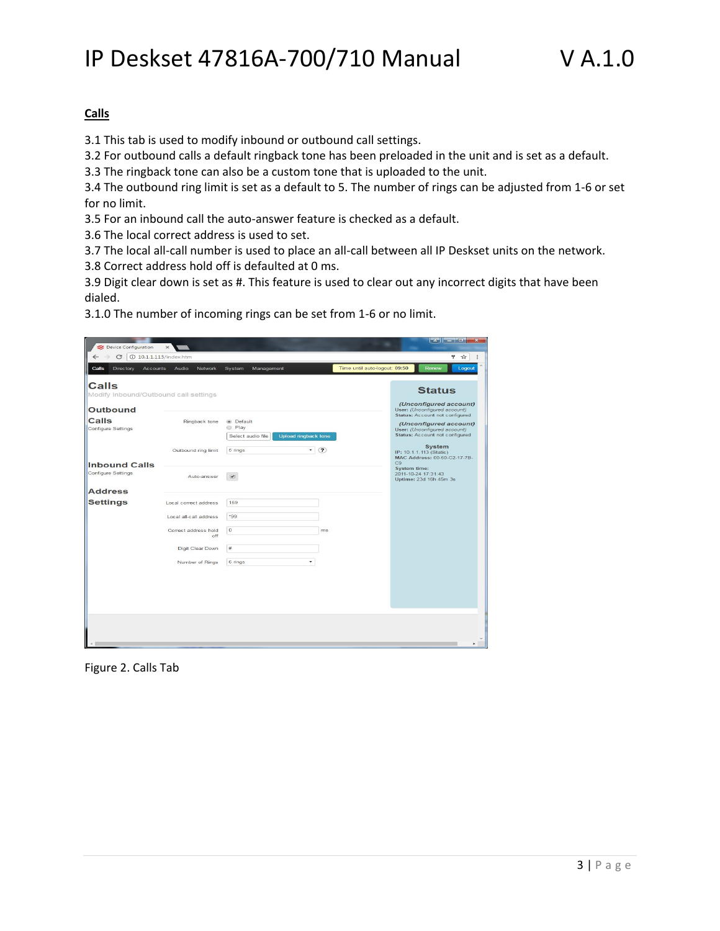### **Calls**

3.1 This tab is used to modify inbound or outbound call settings.

3.2 For outbound calls a default ringback tone has been preloaded in the unit and is set as a default.

3.3 The ringback tone can also be a custom tone that is uploaded to the unit.

3.4 The outbound ring limit is set as a default to 5. The number of rings can be adjusted from 1-6 or set for no limit.

3.5 For an inbound call the auto-answer feature is checked as a default.

3.6 The local correct address is used to set.

3.7 The local all-call number is used to place an all-call between all IP Deskset units on the network.

3.8 Correct address hold off is defaulted at 0 ms.

3.9 Digit clear down is set as #. This feature is used to clear out any incorrect digits that have been dialed.

3.1.0 The number of incoming rings can be set from 1-6 or no limit.

| Device Configuration                                  | $\times$                    |                                                                                  |                               | <b>College Ori</b><br>$\mathbf{x}$                                                       |
|-------------------------------------------------------|-----------------------------|----------------------------------------------------------------------------------|-------------------------------|------------------------------------------------------------------------------------------|
| C<br>$\leftarrow$                                     | <b>10.1.1.113/index.htm</b> |                                                                                  |                               | ÷.<br>$\frac{1}{24}$                                                                     |
| Calls<br>Directory<br><b>Accounts</b>                 | Audio<br>Network            | System<br>Management                                                             | Time until auto-logout: 09:50 | Renew<br>Logout                                                                          |
| <b>Calls</b><br>Modify Inbound/Outbound call settings |                             |                                                                                  |                               | <b>Status</b>                                                                            |
| Outbound                                              |                             |                                                                                  |                               | (Unconfigured account)<br>User: (Unconfigured account)<br>Status: Account not configured |
| <b>Calls</b><br>Configure Settings                    | Ringback tone               | <sup>o</sup> Default<br><b>Play</b><br>Select audio file<br>Upload ringback tone |                               | (Unconfigured account)<br>User: (Unconfigured account)<br>Status: Account not configured |
|                                                       | Outbound ring limit         | 5 rings<br>$\blacktriangledown$                                                  | (2)                           | System<br>IP: 10.1.1.113 (Static)<br>MAC Address: 00-50-C2-17-7B-<br>C <sub>9</sub>      |
| <b>Inbound Calls</b><br>Configure Settings            | Auto-answer                 | $\overline{v}$                                                                   |                               | <b>System time:</b><br>2011-10-24 17:31:43<br>Uptime: 23d 16h 45m 3s                     |
| <b>Address</b>                                        |                             |                                                                                  |                               |                                                                                          |
| <b>Settings</b>                                       | Local correct address       | 159                                                                              |                               |                                                                                          |
|                                                       | Local all-call address      | *99                                                                              |                               |                                                                                          |
|                                                       | Correct address hold<br>off | $\circ$                                                                          | ms                            |                                                                                          |
|                                                       | Digit Clear Down            | $\#$                                                                             |                               |                                                                                          |
|                                                       | Number of Rings             | 6 rings<br>۰                                                                     |                               |                                                                                          |
|                                                       |                             |                                                                                  |                               |                                                                                          |
|                                                       |                             |                                                                                  |                               |                                                                                          |
|                                                       |                             |                                                                                  |                               |                                                                                          |
|                                                       |                             |                                                                                  |                               |                                                                                          |
|                                                       |                             |                                                                                  |                               |                                                                                          |

Figure 2. Calls Tab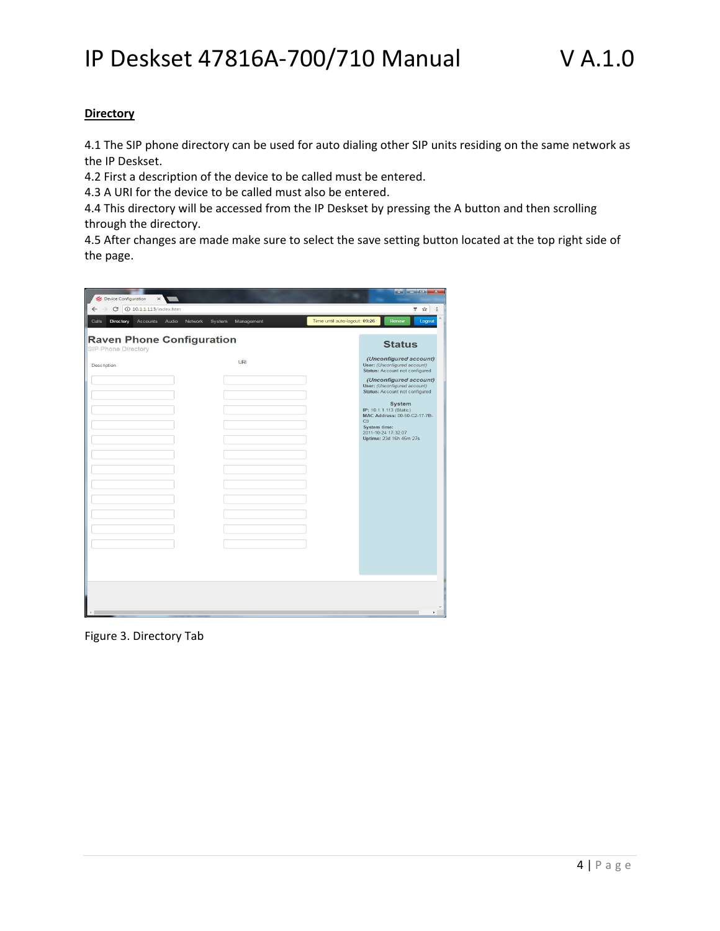### **Directory**

4.1 The SIP phone directory can be used for auto dialing other SIP units residing on the same network as the IP Deskset.

4.2 First a description of the device to be called must be entered.

4.3 A URI for the device to be called must also be entered.

4.4 This directory will be accessed from the IP Deskset by pressing the A button and then scrolling through the directory.

4.5 After changes are made make sure to select the save setting button located at the top right side of the page.

| Device Configuration                                    | $\times$                    |                                 |                               | كوزم درا اركوا                                                                                                                                        |
|---------------------------------------------------------|-----------------------------|---------------------------------|-------------------------------|-------------------------------------------------------------------------------------------------------------------------------------------------------|
| C<br>$\leftarrow$                                       | <b>10.1.1.113/index.htm</b> |                                 |                               | ♥ ☆                                                                                                                                                   |
| Calls<br><b>Directory</b>                               | <b>Accounts</b><br>Audio    | Network<br>System<br>Management | Time until auto-logout: 09:26 | Renew<br>Logout                                                                                                                                       |
| <b>Raven Phone Configuration</b><br>SIP Phone Directory |                             |                                 |                               | <b>Status</b>                                                                                                                                         |
| Description                                             |                             | URI                             |                               | (Unconfigured account)<br>User: (Unconfigured account)<br>Status: Account not configured                                                              |
|                                                         |                             |                                 |                               | (Unconfigured account)<br>User: (Unconfigured account)<br>Status: Account not configured                                                              |
|                                                         |                             |                                 |                               | System<br>IP: 10.1.1.113 (Static)<br>MAC Address: 00-50-C2-17-7B-<br>C <sub>9</sub><br>System time:<br>2011-10-24 17:32:07<br>Uptime: 23d 16h 45m 27s |
|                                                         |                             |                                 |                               |                                                                                                                                                       |
|                                                         |                             |                                 |                               |                                                                                                                                                       |
|                                                         |                             |                                 |                               |                                                                                                                                                       |

Figure 3. Directory Tab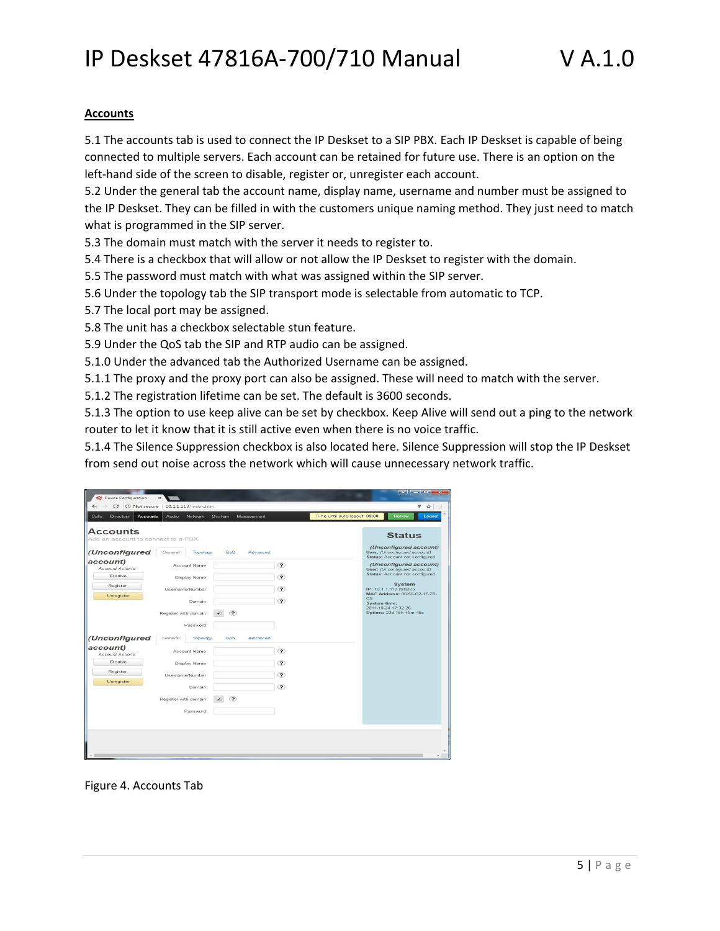### **Accounts**

5.1 The accounts tab is used to connect the IP Deskset to a SIP PBX. Each IP Deskset is capable of being connected to multiple servers. Each account can be retained for future use. There is an option on the left-hand side of the screen to disable, register or, unregister each account.

5.2 Under the general tab the account name, display name, username and number must be assigned to the IP Deskset. They can be filled in with the customers unique naming method. They just need to match what is programmed in the SIP server.

5.3 The domain must match with the server it needs to register to.

5.4 There is a checkbox that will allow or not allow the IP Deskset to register with the domain.

5.5 The password must match with what was assigned within the SIP server.

5.6 Under the topology tab the SIP transport mode is selectable from automatic to TCP.

5.7 The local port may be assigned.

5.8 The unit has a checkbox selectable stun feature.

5.9 Under the QoS tab the SIP and RTP audio can be assigned.

5.1.0 Under the advanced tab the Authorized Username can be assigned.

5.1.1 The proxy and the proxy port can also be assigned. These will need to match with the server.

5.1.2 The registration lifetime can be set. The default is 3600 seconds.

5.1.3 The option to use keep alive can be set by checkbox. Keep Alive will send out a ping to the network router to let it know that it is still active even when there is no voice traffic.

5.1.4 The Silence Suppression checkbox is also located here. Silence Suppression will stop the IP Deskset from send out noise across the network which will cause unnecessary network traffic.

| C                                                    | 10.1.1.113/index.htm               |                   | 9<br>$\mathbf{x}$                                                                        |
|------------------------------------------------------|------------------------------------|-------------------|------------------------------------------------------------------------------------------|
| Calls<br>Directory<br><b>Accounts</b>                | Audio<br>Network<br>System         | Management        | Time until auto-logout: 09:08<br>Renew<br>Logout                                         |
| <b>Accounts</b>                                      |                                    |                   | <b>Status</b>                                                                            |
| Add an account to connect to a PBX.<br>(Unconfigured | General<br><b>Topology</b><br>QoS. | Advanced          | (Unconfigured account)<br>User: (Unconfigured account)                                   |
| account)<br>Account Actions:                         | Account Name                       | ⅋                 | Status: Account not configured<br>(Unconfigured account)<br>User: (Unconfigured account) |
| <b>Disable</b>                                       | Display Name                       | ?                 | Status: Account not configured                                                           |
| Register                                             | Username/Number                    | ?                 | <b>System</b><br>IP: 10.1.1.113 (Static)<br>MAC Address: 00-50-C2-17-7B-                 |
| Unregister                                           | Domain                             | $\left( 2\right)$ | C9<br>System time:<br>2011-10-24 17:32:26                                                |
|                                                      | ?<br>Register with domain          |                   | Uptime: 23d 16h 45m 46s                                                                  |
|                                                      | Password                           |                   |                                                                                          |
| (Unconfigured                                        | Topology<br>General<br>QoS         | Advanced          |                                                                                          |
| account)<br>Account Actions:                         | Account Name                       | $\circledcirc$    |                                                                                          |
| <b>Disable</b>                                       | Display Name                       | ?                 |                                                                                          |
| Register                                             | Username/Number                    | $\mathcal{P}$     |                                                                                          |
| Unregister                                           | Domain                             | ?                 |                                                                                          |
|                                                      | ⅋<br>Register with domain          |                   |                                                                                          |
|                                                      | Password                           |                   |                                                                                          |
|                                                      |                                    |                   |                                                                                          |
|                                                      |                                    |                   |                                                                                          |

Figure 4. Accounts Tab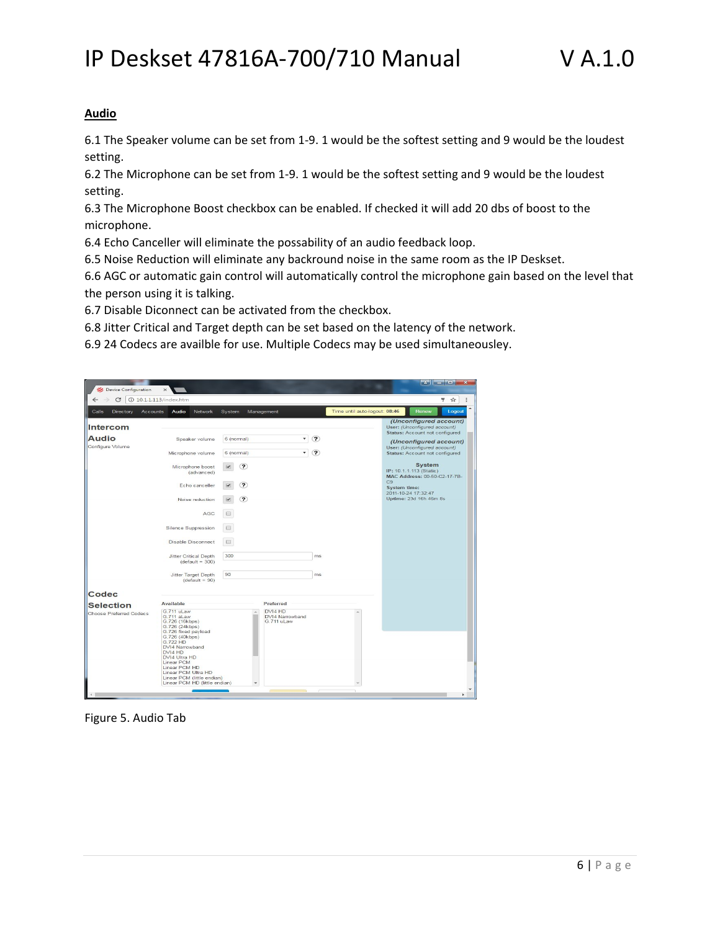#### **Audio**

6.1 The Speaker volume can be set from 1-9. 1 would be the softest setting and 9 would be the loudest setting.

6.2 The Microphone can be set from 1-9. 1 would be the softest setting and 9 would be the loudest setting.

6.3 The Microphone Boost checkbox can be enabled. If checked it will add 20 dbs of boost to the microphone.

6.4 Echo Canceller will eliminate the possability of an audio feedback loop.

6.5 Noise Reduction will eliminate any backround noise in the same room as the IP Deskset.

6.6 AGC or automatic gain control will automatically control the microphone gain based on the level that the person using it is talking.

6.7 Disable Diconnect can be activated from the checkbox.

6.8 Jitter Critical and Target depth can be set based on the latency of the network.

6.9 24 Codecs are availble for use. Multiple Codecs may be used simultaneousley.

| C                                                            | 10.1.1.113/index.htm                                                                                                                                                                                                                                                                  |                                                                                                |                                                                                 |                               |                                                                                                                                                                                                                                                                                                                                          | ♥ ☆    |
|--------------------------------------------------------------|---------------------------------------------------------------------------------------------------------------------------------------------------------------------------------------------------------------------------------------------------------------------------------------|------------------------------------------------------------------------------------------------|---------------------------------------------------------------------------------|-------------------------------|------------------------------------------------------------------------------------------------------------------------------------------------------------------------------------------------------------------------------------------------------------------------------------------------------------------------------------------|--------|
| Calls<br><b>Directory</b><br><b>Accounts</b>                 | Audio<br>Network                                                                                                                                                                                                                                                                      | System                                                                                         | Management                                                                      | Time until auto-logout: 08:46 | Renew                                                                                                                                                                                                                                                                                                                                    | Logout |
| <b>Intercom</b><br><b>Audio</b><br>Configure Volume<br>Codec | Speaker volume<br>Microphone volume<br>Microphone boost<br>(advanced)<br>Echo canceller<br>Noise reduction<br>AGC<br>Silence Suppression<br>Disable Disconnect<br>Jitter Critical Depth<br>$(default = 300)$<br>Jitter Target Depth<br>$(default = 90)$                               | 6 (normal)<br>6 (normal)<br>$\overline{\mathbf{c}}$<br>?<br>႒<br>$\Box$<br>田<br>o<br>300<br>90 | $\circledR$<br>$\mathbf{v}$<br>$\circledcirc$<br>$\pmb{\mathrm{v}}$<br>ms<br>ms |                               | (Unconfigured account)<br>User: (Unconfigured account)<br>Status: Account not configured<br>(Unconfigured account)<br>User: (Unconfigured account)<br>Status: Account not configured<br><b>System</b><br>IP: 10.1.1.113 (Static)<br>MAC Address: 00-50-C2-17-7B-<br>C.9<br>System time:<br>2011-10-24 17:32:47<br>Uptime: 23d 16h 46m 8s |        |
|                                                              | Available                                                                                                                                                                                                                                                                             |                                                                                                | Preferred                                                                       |                               |                                                                                                                                                                                                                                                                                                                                          |        |
| <b>Selection</b><br>Choose Preferred Codecs                  | G.711 uLaw<br>G.711 aLaw<br>G.726 (16kbps)<br>G.726 (24kbps)<br>G.726 fixed payload<br>G.726 (40kbps)<br>G.722 HD<br>DVI4 Narrowband<br>DVI4 HD<br>DVI4 Ultra HD<br>Linear PCM<br>Linear PCM HD<br>Linear PCM Ultra HD<br>Linear PCM (little endian)<br>Linear PCM HD (little endian) |                                                                                                | DVI4 HD<br>DVI4 Narrowband<br>G.711 uLaw                                        |                               |                                                                                                                                                                                                                                                                                                                                          |        |

Figure 5. Audio Tab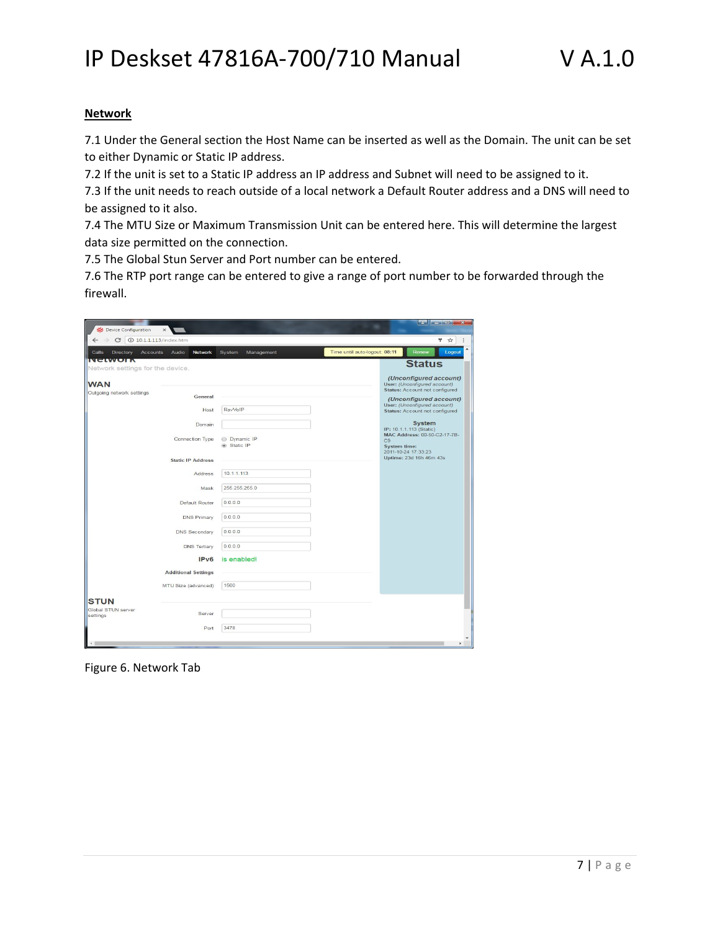### **Network**

7.1 Under the General section the Host Name can be inserted as well as the Domain. The unit can be set to either Dynamic or Static IP address.

7.2 If the unit is set to a Static IP address an IP address and Subnet will need to be assigned to it.

7.3 If the unit needs to reach outside of a local network a Default Router address and a DNS will need to be assigned to it also.

7.4 The MTU Size or Maximum Transmission Unit can be entered here. This will determine the largest data size permitted on the connection.

7.5 The Global Stun Server and Port number can be entered.

7.6 The RTP port range can be entered to give a range of port number to be forwarded through the firewall.

| 10.1.1.113/index.htm<br>C<br>$\leftarrow$                                                                                                                                                                                                     |                                                                                                                                                                                   |                               | ♥ ☆                                                                                                                                                                                                                                                                                                                                |
|-----------------------------------------------------------------------------------------------------------------------------------------------------------------------------------------------------------------------------------------------|-----------------------------------------------------------------------------------------------------------------------------------------------------------------------------------|-------------------------------|------------------------------------------------------------------------------------------------------------------------------------------------------------------------------------------------------------------------------------------------------------------------------------------------------------------------------------|
| <b>Accounts</b><br>Audio<br>Calls<br>Directory<br><b>Network</b>                                                                                                                                                                              | System<br>Management                                                                                                                                                              | Time until auto-logout: 08:11 | Renew<br>Logout                                                                                                                                                                                                                                                                                                                    |
| NCLWOIR<br>Network settings for the device.                                                                                                                                                                                                   |                                                                                                                                                                                   |                               | <b>Status</b>                                                                                                                                                                                                                                                                                                                      |
| <b>WAN</b><br>Outgoing network settings<br>Connection Type<br><b>Static IP Address</b><br>Address<br>Default Router<br><b>DNS Primary</b><br><b>DNS Secondary</b><br><b>DNS Tertiary</b><br><b>Additional Settings</b><br>MTU Size (advanced) | General<br>RavVolP<br>Host<br>Domain<br>Dynamic IP<br>Static IP<br>10.1.1.113<br>255.255.255.0<br>Mask<br>0.0.0.0<br>0.0.0.0<br>0.0.0.0<br>0.0.0.0<br>is enabled!<br>IPv6<br>1500 | C <sub>9</sub>                | (Unconfigured account)<br>User: (Unconfigured account)<br>Status: Account not configured<br>(Unconfigured account)<br>User: (Unconfigured account)<br>Status: Account not configured<br><b>System</b><br>IP: 10.1.1.113 (Static)<br>MAC Address: 00-50-C2-17-7B-<br>System time:<br>2011-10-24 17:33:23<br>Uptime: 23d 16h 46m 43s |
| <b>STUN</b>                                                                                                                                                                                                                                   |                                                                                                                                                                                   |                               |                                                                                                                                                                                                                                                                                                                                    |
| Global STUN server<br>settings                                                                                                                                                                                                                | Server                                                                                                                                                                            |                               |                                                                                                                                                                                                                                                                                                                                    |
|                                                                                                                                                                                                                                               | 3478<br>Port                                                                                                                                                                      |                               |                                                                                                                                                                                                                                                                                                                                    |

Figure 6. Network Tab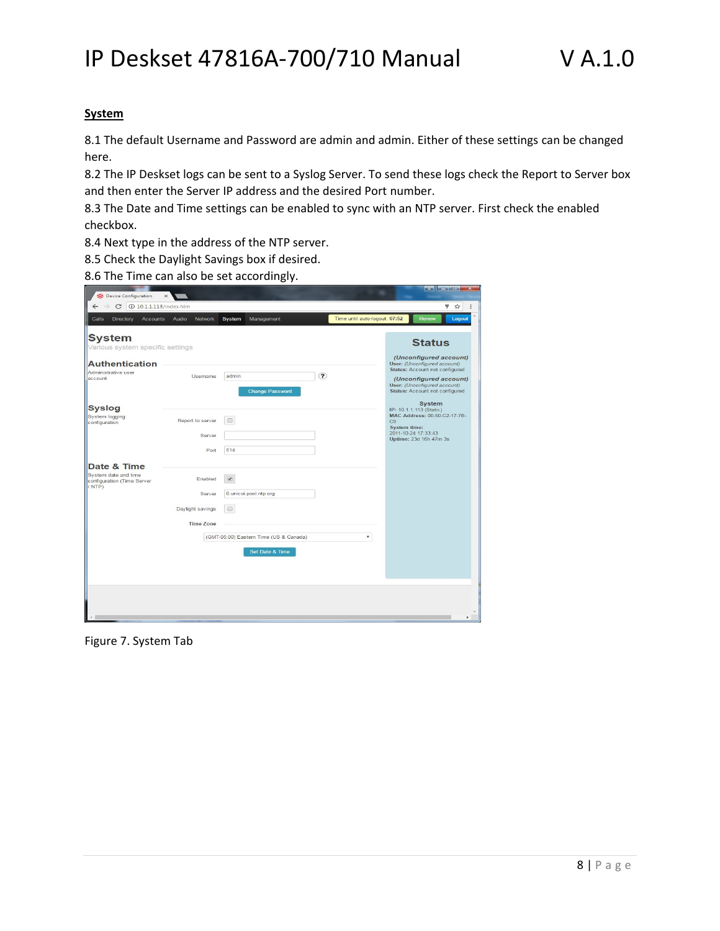#### **System**

8.1 The default Username and Password are admin and admin. Either of these settings can be changed here.

8.2 The IP Deskset logs can be sent to a Syslog Server. To send these logs check the Report to Server box and then enter the Server IP address and the desired Port number.

8.3 The Date and Time settings can be enabled to sync with an NTP server. First check the enabled checkbox.

8.4 Next type in the address of the NTP server.

8.5 Check the Daylight Savings box if desired.

8.6 The Time can also be set accordingly.

| C<br>10.1.1.113/index.htm<br>$\leftarrow$                                                         |                                                           |                                                             | 9<br>☆                                                                                                                         |
|---------------------------------------------------------------------------------------------------|-----------------------------------------------------------|-------------------------------------------------------------|--------------------------------------------------------------------------------------------------------------------------------|
| Calls<br>Directory<br>Accounts                                                                    | Audio<br>Network                                          | System<br>Management                                        | Time until auto-logout: 07:52<br>Renew<br>Logout                                                                               |
| <b>System</b><br>Various system specific settings<br><b>Authentication</b><br>Administrative user | Username                                                  | $\overline{\mathbf{c}}$<br>admin                            | <b>Status</b><br>(Unconfigured account)<br>User: (Unconfigured account)<br>Status: Account not configured                      |
| account                                                                                           |                                                           | <b>Change Password</b>                                      | (Unconfigured account)<br>User: (Unconfigured account)<br>Status: Account not configured<br><b>System</b>                      |
| <b>Syslog</b><br>System logging<br>configuration                                                  | Report to server<br>Server<br>Port                        | 0<br>514                                                    | IP: 10.1.1.113 (Static)<br>MAC Address: 00-50-C2-17-7B-<br>C9<br>System time:<br>2011-10-24 17:33:43<br>Uptime: 23d 16h 47m 3s |
| Date & Time<br>System date and time<br>configuration (Time Server<br>/ NTP)                       | Enabled<br>Server<br>Daylight savings<br><b>Time Zone</b> | $\overline{\mathcal{C}}$<br>0. unic oi. pool. ntp. org<br>间 |                                                                                                                                |
|                                                                                                   |                                                           | (GMT-05:00) Eastern Time (US & Canada)<br>Set Date & Time   | $\scriptstyle\rm v$                                                                                                            |

Figure 7. System Tab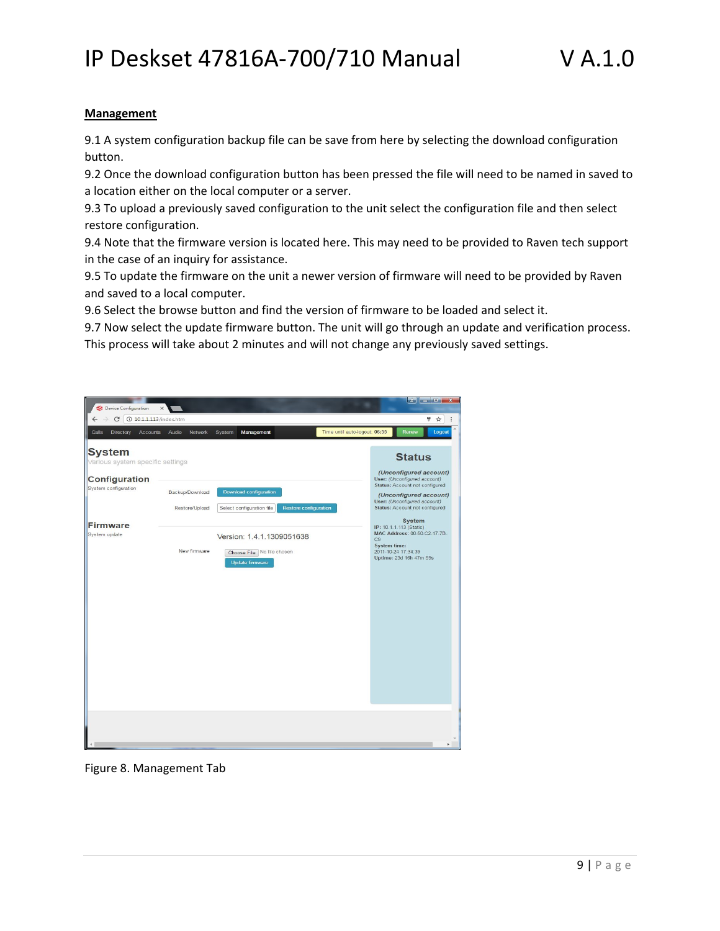#### **Management**

9.1 A system configuration backup file can be save from here by selecting the download configuration button.

9.2 Once the download configuration button has been pressed the file will need to be named in saved to a location either on the local computer or a server.

9.3 To upload a previously saved configuration to the unit select the configuration file and then select restore configuration.

9.4 Note that the firmware version is located here. This may need to be provided to Raven tech support in the case of an inquiry for assistance.

9.5 To update the firmware on the unit a newer version of firmware will need to be provided by Raven and saved to a local computer.

9.6 Select the browse button and find the version of firmware to be loaded and select it.

9.7 Now select the update firmware button. The unit will go through an update and verification process. This process will take about 2 minutes and will not change any previously saved settings.

| Device Configuration                              | $\times$                          |                                                                                     |                               | $\sim$<br>o.                                                                                                                                                                         |
|---------------------------------------------------|-----------------------------------|-------------------------------------------------------------------------------------|-------------------------------|--------------------------------------------------------------------------------------------------------------------------------------------------------------------------------------|
| $\tilde{C}$<br><b>10.1.1.113/index.htm</b>        |                                   |                                                                                     |                               | ę.<br>$\frac{1}{M}$                                                                                                                                                                  |
| Calls<br>Directory<br><b>Accounts</b>             | Audio<br>Network                  | System<br>Management                                                                | Time until auto-logout: 06:55 | Renew<br>Logout                                                                                                                                                                      |
| <b>System</b><br>Various system specific settings |                                   |                                                                                     |                               | <b>Status</b>                                                                                                                                                                        |
| <b>Configuration</b><br>System configuration      | Backup/Download<br>Restore/Upload | Download configuration<br>Select configuration file<br><b>Restore configuration</b> |                               | (Unconfigured account)<br>User: (Unconfigured account)<br>Status: Account not configured<br>(Unconfigured account)<br>User: (Unconfigured account)<br>Status: Account not configured |
| <b>Firmware</b><br>System update                  | New firmware                      | Version: 1.4.1.1309051638<br>Choose File No file chosen                             |                               | System<br>IP: 10.1.1.113 (Static)<br>MAC Address: 00-50-C2-17-7B-<br>C <sub>9</sub><br><b>System time:</b><br>2011-10-24 17:34:39<br>Uptime: 23d 16h 47m 59s                         |
|                                                   |                                   | <b>Update firmware</b>                                                              |                               |                                                                                                                                                                                      |
|                                                   |                                   |                                                                                     |                               |                                                                                                                                                                                      |
|                                                   |                                   |                                                                                     |                               |                                                                                                                                                                                      |
|                                                   |                                   |                                                                                     |                               |                                                                                                                                                                                      |
|                                                   |                                   |                                                                                     |                               |                                                                                                                                                                                      |
|                                                   |                                   |                                                                                     |                               |                                                                                                                                                                                      |
|                                                   |                                   |                                                                                     |                               | $\blacktriangleright$                                                                                                                                                                |

Figure 8. Management Tab